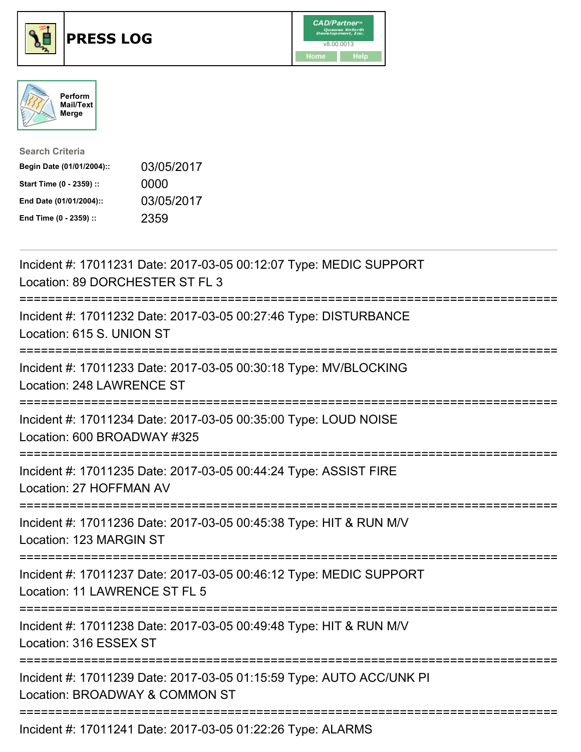





| <b>Search Criteria</b>    |            |
|---------------------------|------------|
| Begin Date (01/01/2004):: | 03/05/2017 |
| Start Time (0 - 2359) ::  | 0000       |
| End Date (01/01/2004)::   | 03/05/2017 |
| End Time (0 - 2359) ::    | 2359       |

| Incident #: 17011231 Date: 2017-03-05 00:12:07 Type: MEDIC SUPPORT<br>Location: 89 DORCHESTER ST FL 3                   |
|-------------------------------------------------------------------------------------------------------------------------|
| Incident #: 17011232 Date: 2017-03-05 00:27:46 Type: DISTURBANCE<br>Location: 615 S. UNION ST                           |
| Incident #: 17011233 Date: 2017-03-05 00:30:18 Type: MV/BLOCKING<br>Location: 248 LAWRENCE ST                           |
| Incident #: 17011234 Date: 2017-03-05 00:35:00 Type: LOUD NOISE<br>Location: 600 BROADWAY #325                          |
| Incident #: 17011235 Date: 2017-03-05 00:44:24 Type: ASSIST FIRE<br>Location: 27 HOFFMAN AV                             |
| Incident #: 17011236 Date: 2017-03-05 00:45:38 Type: HIT & RUN M/V<br>Location: 123 MARGIN ST                           |
| Incident #: 17011237 Date: 2017-03-05 00:46:12 Type: MEDIC SUPPORT<br>Location: 11 LAWRENCE ST FL 5                     |
| Incident #: 17011238 Date: 2017-03-05 00:49:48 Type: HIT & RUN M/V<br>Location: 316 ESSEX ST<br>----------------------- |
| Incident #: 17011239 Date: 2017-03-05 01:15:59 Type: AUTO ACC/UNK PI<br>Location: BROADWAY & COMMON ST                  |
| Incident #: 17011241 Date: 2017-03-05 01:22:26 Type: ALARMS                                                             |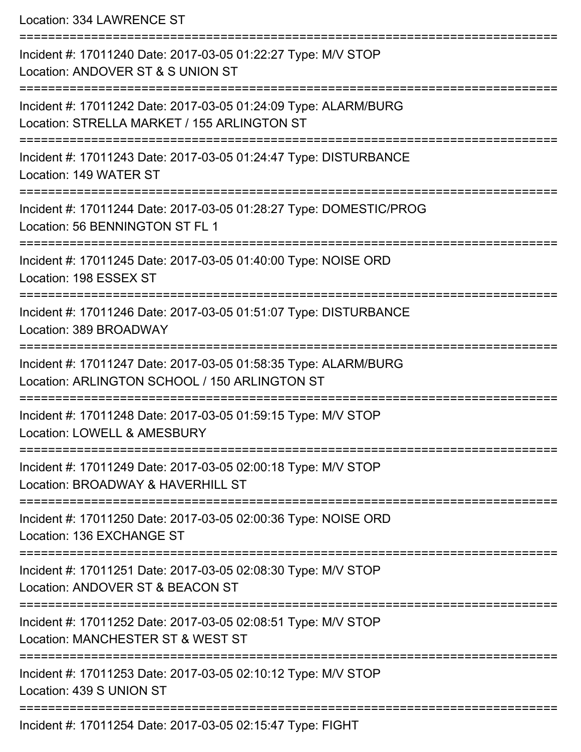Location: 334 LAWRENCE ST

| Incident #: 17011240 Date: 2017-03-05 01:22:27 Type: M/V STOP<br>Location: ANDOVER ST & S UNION ST               |
|------------------------------------------------------------------------------------------------------------------|
| Incident #: 17011242 Date: 2017-03-05 01:24:09 Type: ALARM/BURG<br>Location: STRELLA MARKET / 155 ARLINGTON ST   |
| Incident #: 17011243 Date: 2017-03-05 01:24:47 Type: DISTURBANCE<br>Location: 149 WATER ST                       |
| Incident #: 17011244 Date: 2017-03-05 01:28:27 Type: DOMESTIC/PROG<br>Location: 56 BENNINGTON ST FL 1            |
| Incident #: 17011245 Date: 2017-03-05 01:40:00 Type: NOISE ORD<br>Location: 198 ESSEX ST                         |
| Incident #: 17011246 Date: 2017-03-05 01:51:07 Type: DISTURBANCE<br>Location: 389 BROADWAY                       |
| Incident #: 17011247 Date: 2017-03-05 01:58:35 Type: ALARM/BURG<br>Location: ARLINGTON SCHOOL / 150 ARLINGTON ST |
| Incident #: 17011248 Date: 2017-03-05 01:59:15 Type: M/V STOP<br>Location: LOWELL & AMESBURY                     |
| Incident #: 17011249 Date: 2017-03-05 02:00:18 Type: M/V STOP<br>Location: BROADWAY & HAVERHILL ST               |
| Incident #: 17011250 Date: 2017-03-05 02:00:36 Type: NOISE ORD<br>Location: 136 EXCHANGE ST                      |
| Incident #: 17011251 Date: 2017-03-05 02:08:30 Type: M/V STOP<br>Location: ANDOVER ST & BEACON ST                |
| Incident #: 17011252 Date: 2017-03-05 02:08:51 Type: M/V STOP<br>Location: MANCHESTER ST & WEST ST               |
| Incident #: 17011253 Date: 2017-03-05 02:10:12 Type: M/V STOP<br>Location: 439 S UNION ST                        |
| Incident #: 17011254 Date: 2017-03-05 02:15:47 Type: FIGHT                                                       |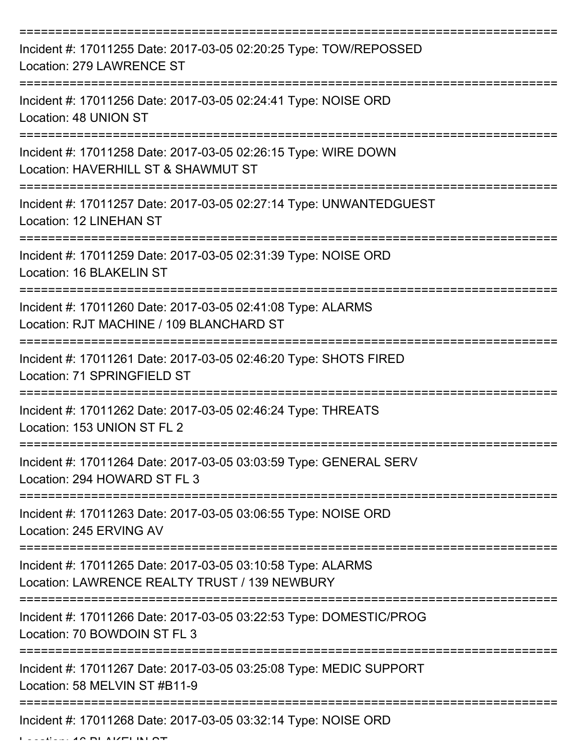| Incident #: 17011255 Date: 2017-03-05 02:20:25 Type: TOW/REPOSSED<br>Location: 279 LAWRENCE ST               |
|--------------------------------------------------------------------------------------------------------------|
| Incident #: 17011256 Date: 2017-03-05 02:24:41 Type: NOISE ORD<br>Location: 48 UNION ST                      |
| Incident #: 17011258 Date: 2017-03-05 02:26:15 Type: WIRE DOWN<br>Location: HAVERHILL ST & SHAWMUT ST        |
| Incident #: 17011257 Date: 2017-03-05 02:27:14 Type: UNWANTEDGUEST<br>Location: 12 LINEHAN ST                |
| Incident #: 17011259 Date: 2017-03-05 02:31:39 Type: NOISE ORD<br>Location: 16 BLAKELIN ST                   |
| Incident #: 17011260 Date: 2017-03-05 02:41:08 Type: ALARMS<br>Location: RJT MACHINE / 109 BLANCHARD ST      |
| Incident #: 17011261 Date: 2017-03-05 02:46:20 Type: SHOTS FIRED<br>Location: 71 SPRINGFIELD ST              |
| Incident #: 17011262 Date: 2017-03-05 02:46:24 Type: THREATS<br>Location: 153 UNION ST FL 2                  |
| Incident #: 17011264 Date: 2017-03-05 03:03:59 Type: GENERAL SERV<br>Location: 294 HOWARD ST FL 3            |
| Incident #: 17011263 Date: 2017-03-05 03:06:55 Type: NOISE ORD<br>Location: 245 ERVING AV                    |
| Incident #: 17011265 Date: 2017-03-05 03:10:58 Type: ALARMS<br>Location: LAWRENCE REALTY TRUST / 139 NEWBURY |
| Incident #: 17011266 Date: 2017-03-05 03:22:53 Type: DOMESTIC/PROG<br>Location: 70 BOWDOIN ST FL 3           |
| Incident #: 17011267 Date: 2017-03-05 03:25:08 Type: MEDIC SUPPORT<br>Location: 58 MELVIN ST #B11-9          |
| Incident #: 17011268 Date: 2017-03-05 03:32:14 Type: NOISE ORD                                               |

 $L = L/L$ . 16  $\sigma$  BLAKELIN  $\sigma$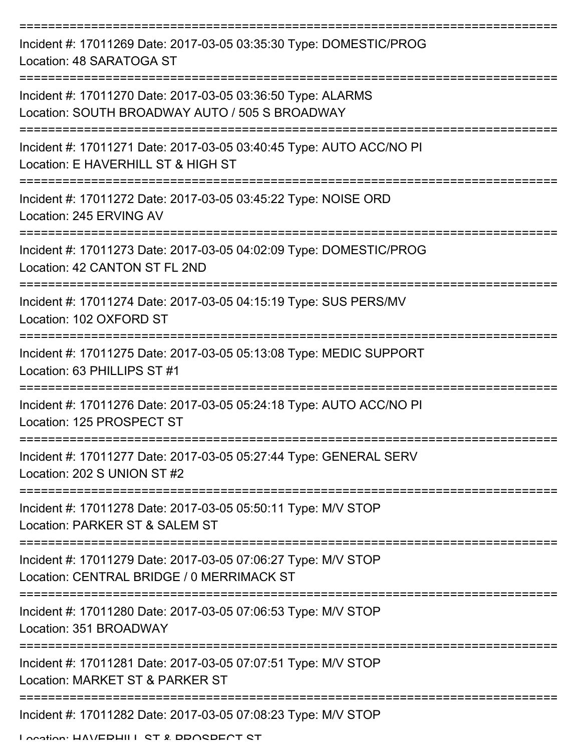| Incident #: 17011269 Date: 2017-03-05 03:35:30 Type: DOMESTIC/PROG<br>Location: 48 SARATOGA ST                |
|---------------------------------------------------------------------------------------------------------------|
| Incident #: 17011270 Date: 2017-03-05 03:36:50 Type: ALARMS<br>Location: SOUTH BROADWAY AUTO / 505 S BROADWAY |
| Incident #: 17011271 Date: 2017-03-05 03:40:45 Type: AUTO ACC/NO PI<br>Location: E HAVERHILL ST & HIGH ST     |
| Incident #: 17011272 Date: 2017-03-05 03:45:22 Type: NOISE ORD<br>Location: 245 ERVING AV                     |
| Incident #: 17011273 Date: 2017-03-05 04:02:09 Type: DOMESTIC/PROG<br>Location: 42 CANTON ST FL 2ND           |
| Incident #: 17011274 Date: 2017-03-05 04:15:19 Type: SUS PERS/MV<br>Location: 102 OXFORD ST                   |
| Incident #: 17011275 Date: 2017-03-05 05:13:08 Type: MEDIC SUPPORT<br>Location: 63 PHILLIPS ST #1             |
| Incident #: 17011276 Date: 2017-03-05 05:24:18 Type: AUTO ACC/NO PI<br>Location: 125 PROSPECT ST              |
| Incident #: 17011277 Date: 2017-03-05 05:27:44 Type: GENERAL SERV<br>Location: 202 S UNION ST #2              |
| Incident #: 17011278 Date: 2017-03-05 05:50:11 Type: M/V STOP<br>Location: PARKER ST & SALEM ST               |
| Incident #: 17011279 Date: 2017-03-05 07:06:27 Type: M/V STOP<br>Location: CENTRAL BRIDGE / 0 MERRIMACK ST    |
| Incident #: 17011280 Date: 2017-03-05 07:06:53 Type: M/V STOP<br>Location: 351 BROADWAY                       |
| Incident #: 17011281 Date: 2017-03-05 07:07:51 Type: M/V STOP<br>Location: MARKET ST & PARKER ST              |
| Incident #: 17011282 Date: 2017-03-05 07:08:23 Type: M/V STOP                                                 |

Location: HAVEDHILL ST & DDOSDECT ST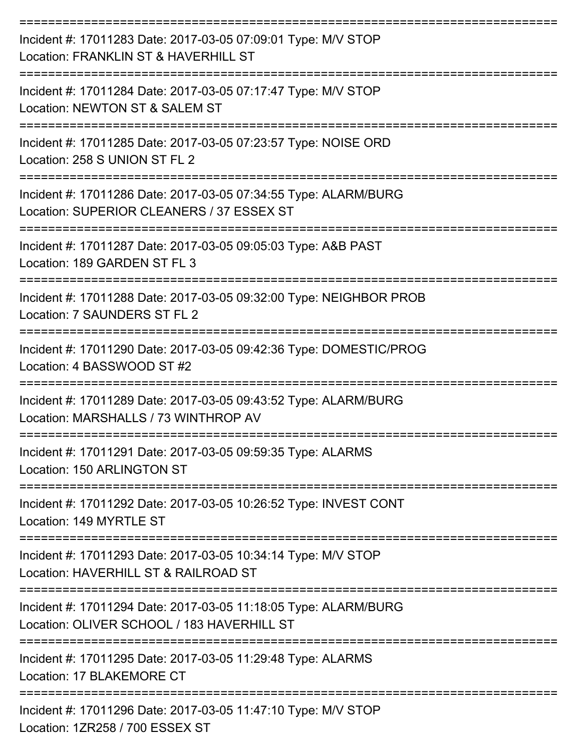| Incident #: 17011283 Date: 2017-03-05 07:09:01 Type: M/V STOP<br>Location: FRANKLIN ST & HAVERHILL ST                                     |
|-------------------------------------------------------------------------------------------------------------------------------------------|
| Incident #: 17011284 Date: 2017-03-05 07:17:47 Type: M/V STOP<br>Location: NEWTON ST & SALEM ST                                           |
| Incident #: 17011285 Date: 2017-03-05 07:23:57 Type: NOISE ORD<br>Location: 258 S UNION ST FL 2                                           |
| Incident #: 17011286 Date: 2017-03-05 07:34:55 Type: ALARM/BURG<br>Location: SUPERIOR CLEANERS / 37 ESSEX ST                              |
| Incident #: 17011287 Date: 2017-03-05 09:05:03 Type: A&B PAST<br>Location: 189 GARDEN ST FL 3                                             |
| Incident #: 17011288 Date: 2017-03-05 09:32:00 Type: NEIGHBOR PROB<br>Location: 7 SAUNDERS ST FL 2                                        |
| Incident #: 17011290 Date: 2017-03-05 09:42:36 Type: DOMESTIC/PROG<br>Location: 4 BASSWOOD ST #2                                          |
| Incident #: 17011289 Date: 2017-03-05 09:43:52 Type: ALARM/BURG<br>Location: MARSHALLS / 73 WINTHROP AV                                   |
| Incident #: 17011291 Date: 2017-03-05 09:59:35 Type: ALARMS<br>Location: 150 ARLINGTON ST                                                 |
| =======================<br>---------------<br>Incident #: 17011292 Date: 2017-03-05 10:26:52 Type: INVEST CONT<br>Location: 149 MYRTLE ST |
| Incident #: 17011293 Date: 2017-03-05 10:34:14 Type: M/V STOP<br>Location: HAVERHILL ST & RAILROAD ST                                     |
| Incident #: 17011294 Date: 2017-03-05 11:18:05 Type: ALARM/BURG<br>Location: OLIVER SCHOOL / 183 HAVERHILL ST                             |
| Incident #: 17011295 Date: 2017-03-05 11:29:48 Type: ALARMS<br>Location: 17 BLAKEMORE CT                                                  |
| Incident #: 17011296 Date: 2017-03-05 11:47:10 Type: M/V STOP<br>Location: 1ZR258 / 700 ESSEX ST                                          |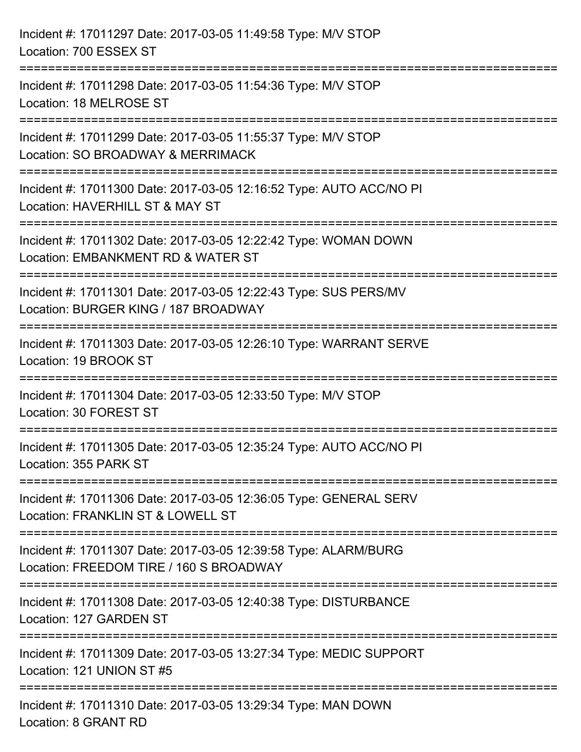| Incident #: 17011297 Date: 2017-03-05 11:49:58 Type: M/V STOP<br>Location: 700 ESSEX ST                                                     |
|---------------------------------------------------------------------------------------------------------------------------------------------|
| Incident #: 17011298 Date: 2017-03-05 11:54:36 Type: M/V STOP<br>Location: 18 MELROSE ST                                                    |
| =========================<br>Incident #: 17011299 Date: 2017-03-05 11:55:37 Type: M/V STOP<br>Location: SO BROADWAY & MERRIMACK             |
| Incident #: 17011300 Date: 2017-03-05 12:16:52 Type: AUTO ACC/NO PI<br>Location: HAVERHILL ST & MAY ST                                      |
| Incident #: 17011302 Date: 2017-03-05 12:22:42 Type: WOMAN DOWN<br>Location: EMBANKMENT RD & WATER ST                                       |
| Incident #: 17011301 Date: 2017-03-05 12:22:43 Type: SUS PERS/MV<br>Location: BURGER KING / 187 BROADWAY<br>:============================== |
| ;====================<br>Incident #: 17011303 Date: 2017-03-05 12:26:10 Type: WARRANT SERVE<br>Location: 19 BROOK ST                        |
| Incident #: 17011304 Date: 2017-03-05 12:33:50 Type: M/V STOP<br>Location: 30 FOREST ST                                                     |
| Incident #: 17011305 Date: 2017-03-05 12:35:24 Type: AUTO ACC/NO PI<br>Location: 355 PARK ST                                                |
| Incident #: 17011306 Date: 2017-03-05 12:36:05 Type: GENERAL SERV<br>Location: FRANKLIN ST & LOWELL ST                                      |
| Incident #: 17011307 Date: 2017-03-05 12:39:58 Type: ALARM/BURG<br>Location: FREEDOM TIRE / 160 S BROADWAY                                  |
| Incident #: 17011308 Date: 2017-03-05 12:40:38 Type: DISTURBANCE<br>Location: 127 GARDEN ST                                                 |
| Incident #: 17011309 Date: 2017-03-05 13:27:34 Type: MEDIC SUPPORT<br>Location: 121 UNION ST #5                                             |
| Incident #: 17011310 Date: 2017-03-05 13:29:34 Type: MAN DOWN<br>Location: 8 GRANT RD                                                       |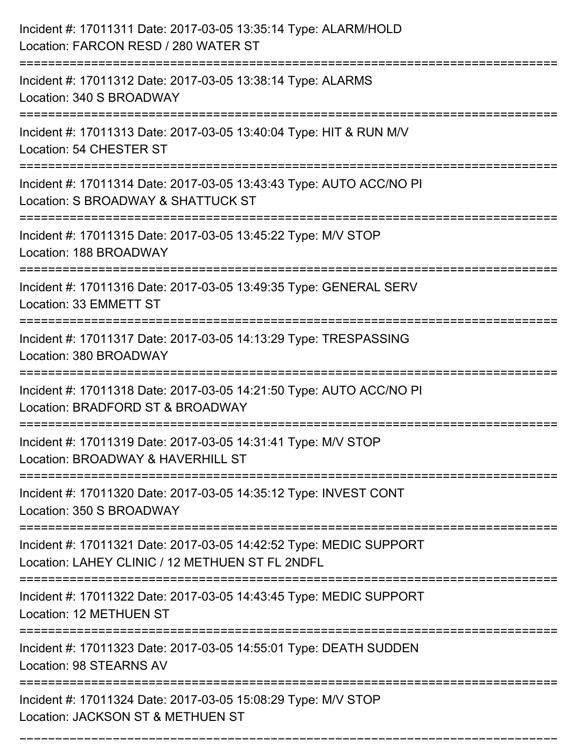| Incident #: 17011311 Date: 2017-03-05 13:35:14 Type: ALARM/HOLD<br>Location: FARCON RESD / 280 WATER ST                            |
|------------------------------------------------------------------------------------------------------------------------------------|
| Incident #: 17011312 Date: 2017-03-05 13:38:14 Type: ALARMS<br>Location: 340 S BROADWAY                                            |
| Incident #: 17011313 Date: 2017-03-05 13:40:04 Type: HIT & RUN M/V<br>Location: 54 CHESTER ST                                      |
| Incident #: 17011314 Date: 2017-03-05 13:43:43 Type: AUTO ACC/NO PI<br>Location: S BROADWAY & SHATTUCK ST                          |
| Incident #: 17011315 Date: 2017-03-05 13:45:22 Type: M/V STOP<br>Location: 188 BROADWAY                                            |
| Incident #: 17011316 Date: 2017-03-05 13:49:35 Type: GENERAL SERV<br>Location: 33 EMMETT ST                                        |
| Incident #: 17011317 Date: 2017-03-05 14:13:29 Type: TRESPASSING<br>Location: 380 BROADWAY<br>================                     |
| Incident #: 17011318 Date: 2017-03-05 14:21:50 Type: AUTO ACC/NO PI<br>Location: BRADFORD ST & BROADWAY                            |
| Incident #: 17011319 Date: 2017-03-05 14:31:41 Type: M/V STOP<br>Location: BROADWAY & HAVERHILL ST                                 |
| Incident #: 17011320 Date: 2017-03-05 14:35:12 Type: INVEST CONT<br>Location: 350 S BROADWAY<br>---------------------------------- |
| Incident #: 17011321 Date: 2017-03-05 14:42:52 Type: MEDIC SUPPORT<br>Location: LAHEY CLINIC / 12 METHUEN ST FL 2NDFL              |
| Incident #: 17011322 Date: 2017-03-05 14:43:45 Type: MEDIC SUPPORT<br>Location: 12 METHUEN ST                                      |
| Incident #: 17011323 Date: 2017-03-05 14:55:01 Type: DEATH SUDDEN<br>Location: 98 STEARNS AV                                       |
| Incident #: 17011324 Date: 2017-03-05 15:08:29 Type: M/V STOP<br>Location: JACKSON ST & METHUEN ST                                 |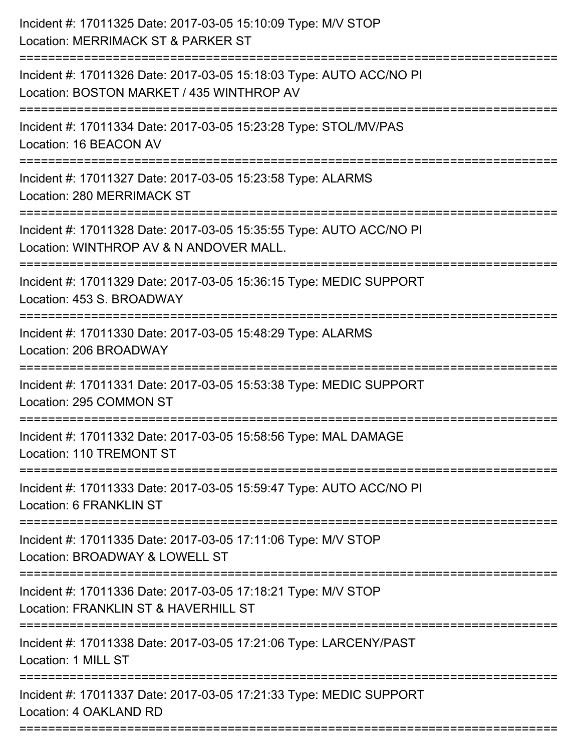| Incident #: 17011325 Date: 2017-03-05 15:10:09 Type: M/V STOP<br>Location: MERRIMACK ST & PARKER ST                         |
|-----------------------------------------------------------------------------------------------------------------------------|
| Incident #: 17011326 Date: 2017-03-05 15:18:03 Type: AUTO ACC/NO PI<br>Location: BOSTON MARKET / 435 WINTHROP AV            |
| Incident #: 17011334 Date: 2017-03-05 15:23:28 Type: STOL/MV/PAS<br>Location: 16 BEACON AV                                  |
| Incident #: 17011327 Date: 2017-03-05 15:23:58 Type: ALARMS<br><b>Location: 280 MERRIMACK ST</b>                            |
| Incident #: 17011328 Date: 2017-03-05 15:35:55 Type: AUTO ACC/NO PI<br>Location: WINTHROP AV & N ANDOVER MALL.              |
| Incident #: 17011329 Date: 2017-03-05 15:36:15 Type: MEDIC SUPPORT<br>Location: 453 S. BROADWAY                             |
| Incident #: 17011330 Date: 2017-03-05 15:48:29 Type: ALARMS<br>Location: 206 BROADWAY                                       |
| Incident #: 17011331 Date: 2017-03-05 15:53:38 Type: MEDIC SUPPORT<br>Location: 295 COMMON ST                               |
| Incident #: 17011332 Date: 2017-03-05 15:58:56 Type: MAL DAMAGE<br>Location: 110 TREMONT ST                                 |
| Incident #: 17011333 Date: 2017-03-05 15:59:47 Type: AUTO ACC/NO PI<br>Location: 6 FRANKLIN ST                              |
| ========================<br>Incident #: 17011335 Date: 2017-03-05 17:11:06 Type: M/V STOP<br>Location: BROADWAY & LOWELL ST |
| Incident #: 17011336 Date: 2017-03-05 17:18:21 Type: M/V STOP<br>Location: FRANKLIN ST & HAVERHILL ST                       |
| Incident #: 17011338 Date: 2017-03-05 17:21:06 Type: LARCENY/PAST<br>Location: 1 MILL ST                                    |
| Incident #: 17011337 Date: 2017-03-05 17:21:33 Type: MEDIC SUPPORT<br>Location: 4 OAKLAND RD                                |
|                                                                                                                             |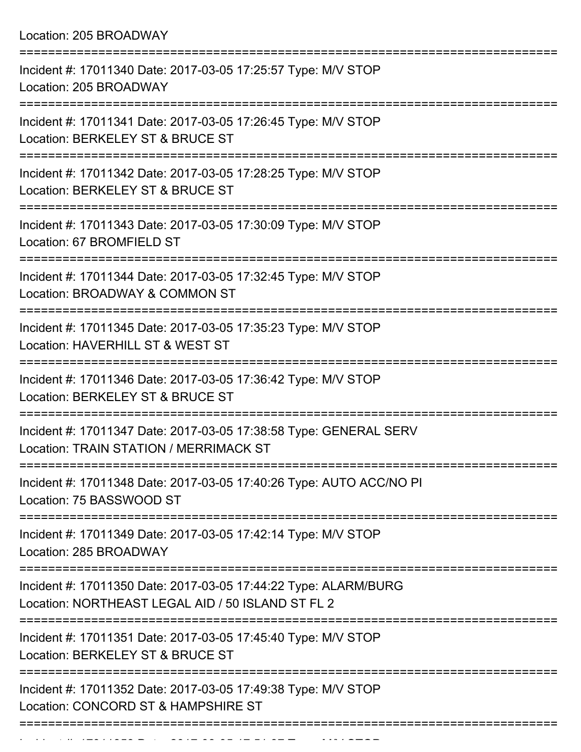| Incident #: 17011340 Date: 2017-03-05 17:25:57 Type: M/V STOP<br>Location: 205 BROADWAY                              |
|----------------------------------------------------------------------------------------------------------------------|
| Incident #: 17011341 Date: 2017-03-05 17:26:45 Type: M/V STOP<br>Location: BERKELEY ST & BRUCE ST                    |
| Incident #: 17011342 Date: 2017-03-05 17:28:25 Type: M/V STOP<br>Location: BERKELEY ST & BRUCE ST                    |
| Incident #: 17011343 Date: 2017-03-05 17:30:09 Type: M/V STOP<br>Location: 67 BROMFIELD ST                           |
| Incident #: 17011344 Date: 2017-03-05 17:32:45 Type: M/V STOP<br>Location: BROADWAY & COMMON ST                      |
| Incident #: 17011345 Date: 2017-03-05 17:35:23 Type: M/V STOP<br>Location: HAVERHILL ST & WEST ST                    |
| Incident #: 17011346 Date: 2017-03-05 17:36:42 Type: M/V STOP<br>Location: BERKELEY ST & BRUCE ST                    |
| Incident #: 17011347 Date: 2017-03-05 17:38:58 Type: GENERAL SERV<br>Location: TRAIN STATION / MERRIMACK ST          |
| Incident #: 17011348 Date: 2017-03-05 17:40:26 Type: AUTO ACC/NO PI<br>Location: 75 BASSWOOD ST                      |
| Incident #: 17011349 Date: 2017-03-05 17:42:14 Type: M/V STOP<br>Location: 285 BROADWAY                              |
| Incident #: 17011350 Date: 2017-03-05 17:44:22 Type: ALARM/BURG<br>Location: NORTHEAST LEGAL AID / 50 ISLAND ST FL 2 |
| Incident #: 17011351 Date: 2017-03-05 17:45:40 Type: M/V STOP<br>Location: BERKELEY ST & BRUCE ST                    |
| Incident #: 17011352 Date: 2017-03-05 17:49:38 Type: M/V STOP<br>Location: CONCORD ST & HAMPSHIRE ST                 |
|                                                                                                                      |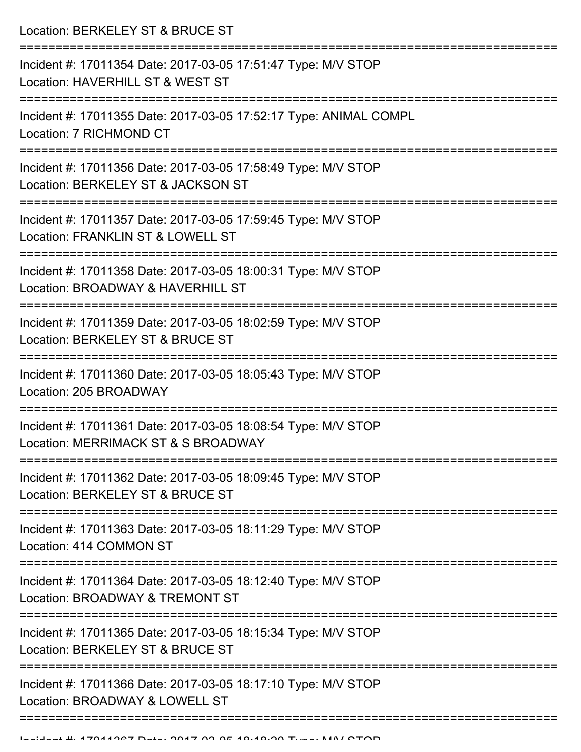Location: BERKELEY ST & BRUCE ST

| Incident #: 17011354 Date: 2017-03-05 17:51:47 Type: M/V STOP<br>Location: HAVERHILL ST & WEST ST    |
|------------------------------------------------------------------------------------------------------|
| Incident #: 17011355 Date: 2017-03-05 17:52:17 Type: ANIMAL COMPL<br>Location: 7 RICHMOND CT         |
| Incident #: 17011356 Date: 2017-03-05 17:58:49 Type: M/V STOP<br>Location: BERKELEY ST & JACKSON ST  |
| Incident #: 17011357 Date: 2017-03-05 17:59:45 Type: M/V STOP<br>Location: FRANKLIN ST & LOWELL ST   |
| Incident #: 17011358 Date: 2017-03-05 18:00:31 Type: M/V STOP<br>Location: BROADWAY & HAVERHILL ST   |
| Incident #: 17011359 Date: 2017-03-05 18:02:59 Type: M/V STOP<br>Location: BERKELEY ST & BRUCE ST    |
| Incident #: 17011360 Date: 2017-03-05 18:05:43 Type: M/V STOP<br>Location: 205 BROADWAY              |
| Incident #: 17011361 Date: 2017-03-05 18:08:54 Type: M/V STOP<br>Location: MERRIMACK ST & S BROADWAY |
| Incident #: 17011362 Date: 2017-03-05 18:09:45 Type: M/V STOP<br>Location: BERKELEY ST & BRUCE ST    |
| Incident #: 17011363 Date: 2017-03-05 18:11:29 Type: M/V STOP<br>Location: 414 COMMON ST             |
| Incident #: 17011364 Date: 2017-03-05 18:12:40 Type: M/V STOP<br>Location: BROADWAY & TREMONT ST     |
| Incident #: 17011365 Date: 2017-03-05 18:15:34 Type: M/V STOP<br>Location: BERKELEY ST & BRUCE ST    |
| Incident #: 17011366 Date: 2017-03-05 18:17:10 Type: M/V STOP<br>Location: BROADWAY & LOWELL ST      |
|                                                                                                      |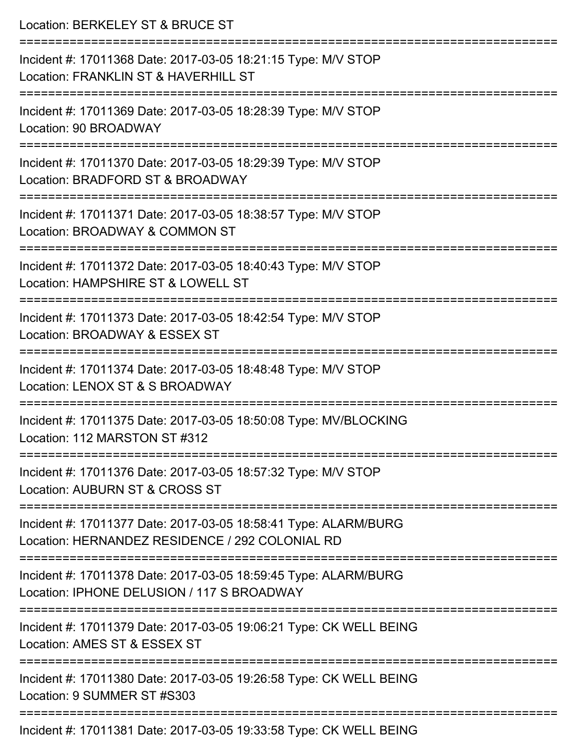| Location: BERKELEY ST & BRUCE ST                                                                                                                            |
|-------------------------------------------------------------------------------------------------------------------------------------------------------------|
| Incident #: 17011368 Date: 2017-03-05 18:21:15 Type: M/V STOP<br>Location: FRANKLIN ST & HAVERHILL ST                                                       |
| Incident #: 17011369 Date: 2017-03-05 18:28:39 Type: M/V STOP<br>Location: 90 BROADWAY                                                                      |
| :===========================<br>Incident #: 17011370 Date: 2017-03-05 18:29:39 Type: M/V STOP<br>Location: BRADFORD ST & BROADWAY<br>---------------------- |
| Incident #: 17011371 Date: 2017-03-05 18:38:57 Type: M/V STOP<br>Location: BROADWAY & COMMON ST                                                             |
| Incident #: 17011372 Date: 2017-03-05 18:40:43 Type: M/V STOP<br>Location: HAMPSHIRE ST & LOWELL ST                                                         |
| Incident #: 17011373 Date: 2017-03-05 18:42:54 Type: M/V STOP<br>Location: BROADWAY & ESSEX ST                                                              |
| Incident #: 17011374 Date: 2017-03-05 18:48:48 Type: M/V STOP<br>Location: LENOX ST & S BROADWAY                                                            |
| Incident #: 17011375 Date: 2017-03-05 18:50:08 Type: MV/BLOCKING<br>Location: 112 MARSTON ST #312                                                           |
| Incident #: 17011376 Date: 2017-03-05 18:57:32 Type: M/V STOP<br>Location: AUBURN ST & CROSS ST                                                             |
| Incident #: 17011377 Date: 2017-03-05 18:58:41 Type: ALARM/BURG<br>Location: HERNANDEZ RESIDENCE / 292 COLONIAL RD                                          |
| Incident #: 17011378 Date: 2017-03-05 18:59:45 Type: ALARM/BURG<br>Location: IPHONE DELUSION / 117 S BROADWAY                                               |
| Incident #: 17011379 Date: 2017-03-05 19:06:21 Type: CK WELL BEING<br>Location: AMES ST & ESSEX ST                                                          |
| Incident #: 17011380 Date: 2017-03-05 19:26:58 Type: CK WELL BEING<br>Location: 9 SUMMER ST #S303                                                           |
| Incident #: 17011381 Date: 2017-03-05 19:33:58 Type: CK WELL BEING                                                                                          |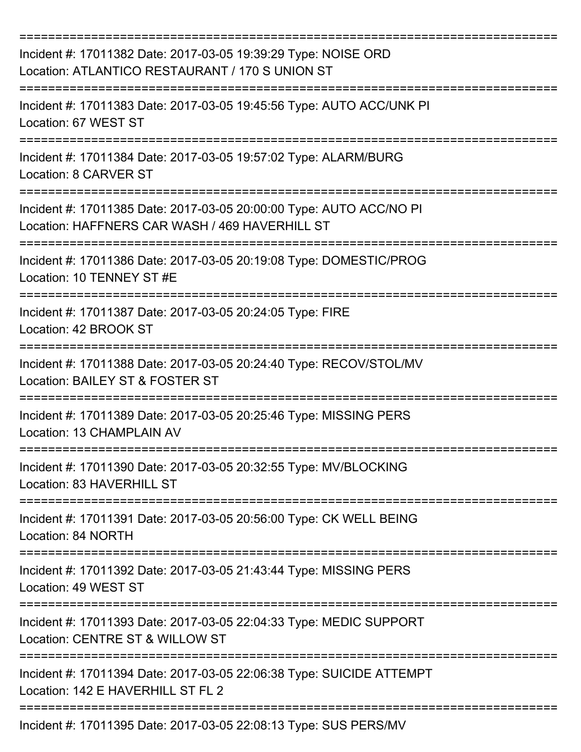| Incident #: 17011382 Date: 2017-03-05 19:39:29 Type: NOISE ORD<br>Location: ATLANTICO RESTAURANT / 170 S UNION ST     |
|-----------------------------------------------------------------------------------------------------------------------|
| Incident #: 17011383 Date: 2017-03-05 19:45:56 Type: AUTO ACC/UNK PI<br>Location: 67 WEST ST                          |
| Incident #: 17011384 Date: 2017-03-05 19:57:02 Type: ALARM/BURG<br><b>Location: 8 CARVER ST</b>                       |
| Incident #: 17011385 Date: 2017-03-05 20:00:00 Type: AUTO ACC/NO PI<br>Location: HAFFNERS CAR WASH / 469 HAVERHILL ST |
| Incident #: 17011386 Date: 2017-03-05 20:19:08 Type: DOMESTIC/PROG<br>Location: 10 TENNEY ST #E                       |
| Incident #: 17011387 Date: 2017-03-05 20:24:05 Type: FIRE<br>Location: 42 BROOK ST                                    |
| Incident #: 17011388 Date: 2017-03-05 20:24:40 Type: RECOV/STOL/MV<br>Location: BAILEY ST & FOSTER ST                 |
| Incident #: 17011389 Date: 2017-03-05 20:25:46 Type: MISSING PERS<br>Location: 13 CHAMPLAIN AV                        |
| Incident #: 17011390 Date: 2017-03-05 20:32:55 Type: MV/BLOCKING<br>Location: 83 HAVERHILL ST                         |
| Incident #: 17011391 Date: 2017-03-05 20:56:00 Type: CK WELL BEING<br>Location: 84 NORTH                              |
| Incident #: 17011392 Date: 2017-03-05 21:43:44 Type: MISSING PERS<br>Location: 49 WEST ST                             |
| Incident #: 17011393 Date: 2017-03-05 22:04:33 Type: MEDIC SUPPORT<br>Location: CENTRE ST & WILLOW ST                 |
| Incident #: 17011394 Date: 2017-03-05 22:06:38 Type: SUICIDE ATTEMPT<br>Location: 142 E HAVERHILL ST FL 2             |
| Incident #: 17011395 Date: 2017-03-05 22:08:13 Type: SUS PERS/MV                                                      |